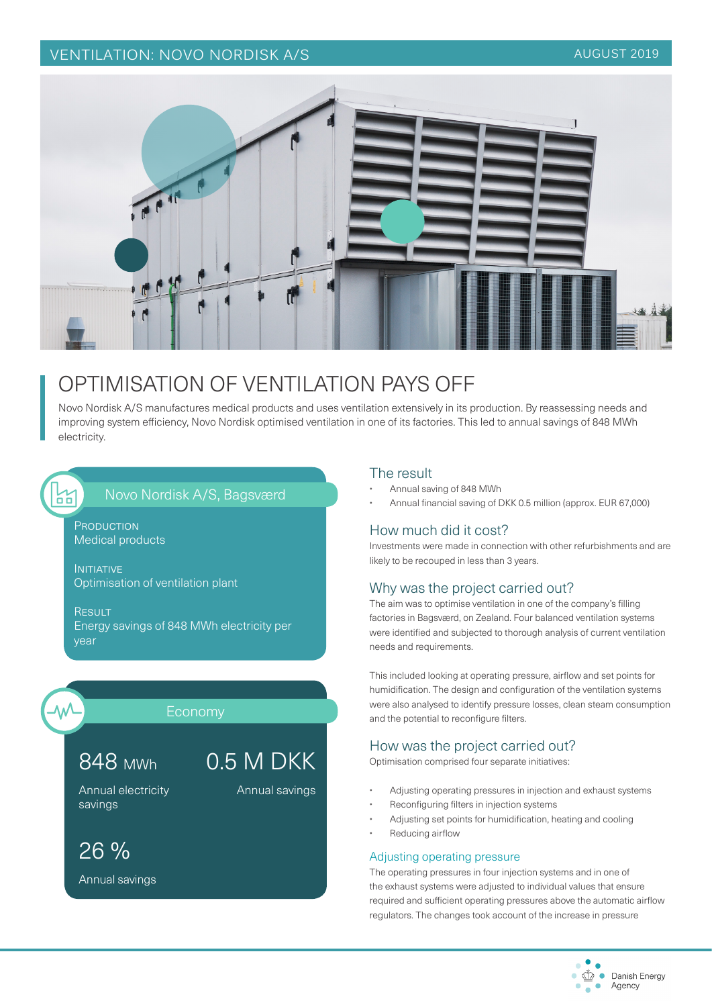## VENTILATION: NOVO NORDISK A/S AUGUST 2019



# OPTIMISATION OF VENTILATION PAYS OFF

Novo Nordisk A/S manufactures medical products and uses ventilation extensively in its production. By reassessing needs and improving system efficiency, Novo Nordisk optimised ventilation in one of its factories. This led to annual savings of 848 MWh electricity.

# Novo Nordisk A/S, Bagsværd

PRODUCTION Medical products

INITIATIVE Optimisation of ventilation plant

**RESULT** Energy savings of 848 MWh electricity per year



 $\frac{1}{2}$ 

#### Economy

#### 848 MWh 0.5 M DKK

Annual savings

Annual electricity savings

26 %

Annual savings

#### The result

- Annual saving of 848 MWh
- Annual financial saving of DKK 0.5 million (approx. EUR 67,000)

### How much did it cost?

Investments were made in connection with other refurbishments and are likely to be recouped in less than 3 years.

#### Why was the project carried out?

The aim was to optimise ventilation in one of the company's filling factories in Bagsværd, on Zealand. Four balanced ventilation systems were identified and subjected to thorough analysis of current ventilation needs and requirements.

This included looking at operating pressure, airflow and set points for humidification. The design and configuration of the ventilation systems were also analysed to identify pressure losses, clean steam consumption and the potential to reconfigure filters.

### How was the project carried out?

Optimisation comprised four separate initiatives:

- Adjusting operating pressures in injection and exhaust systems
- Reconfiguring filters in injection systems
- Adjusting set points for humidification, heating and cooling
- Reducing airflow

#### Adjusting operating pressure

The operating pressures in four injection systems and in one of the exhaust systems were adjusted to individual values that ensure required and sufficient operating pressures above the automatic airflow regulators. The changes took account of the increase in pressure